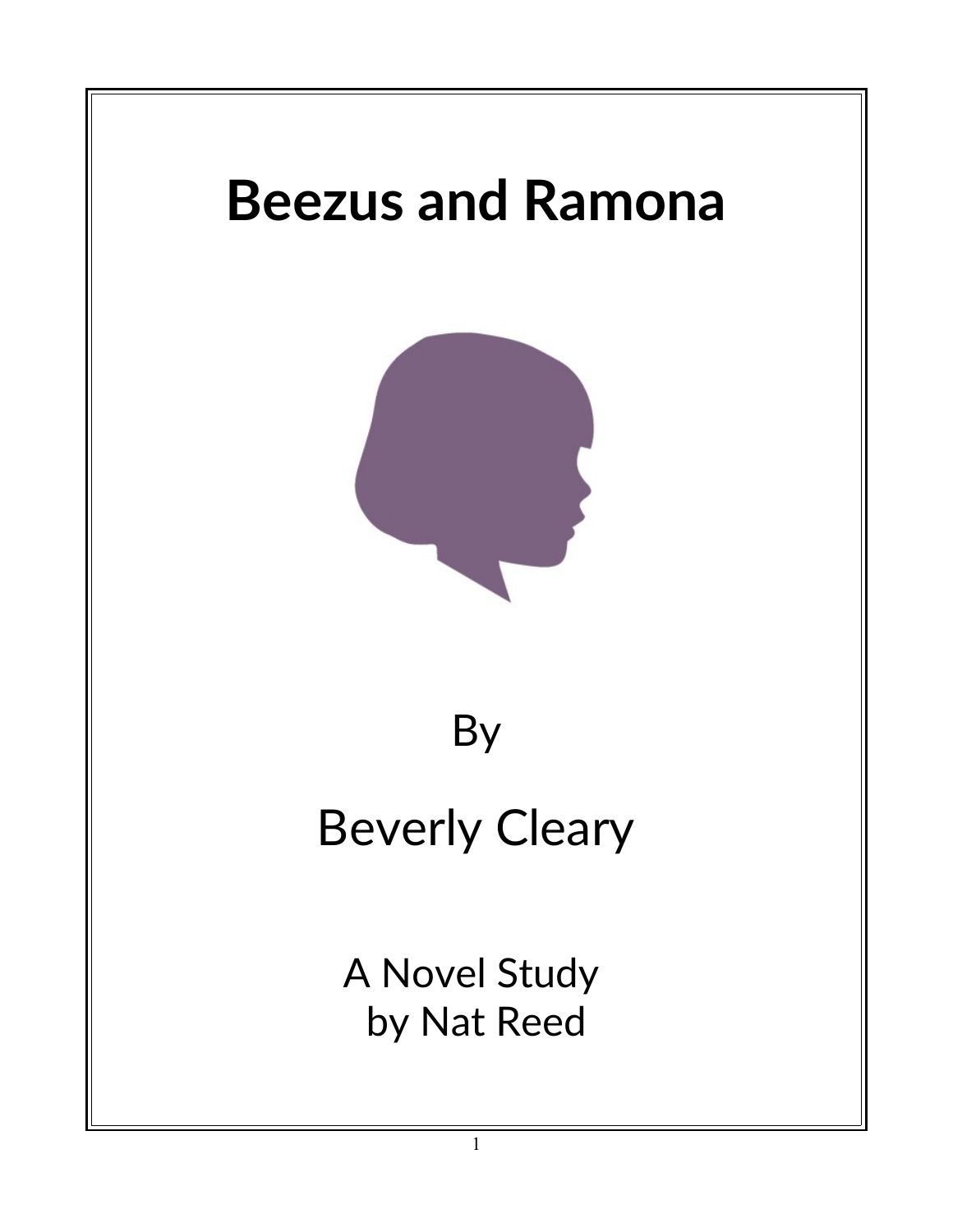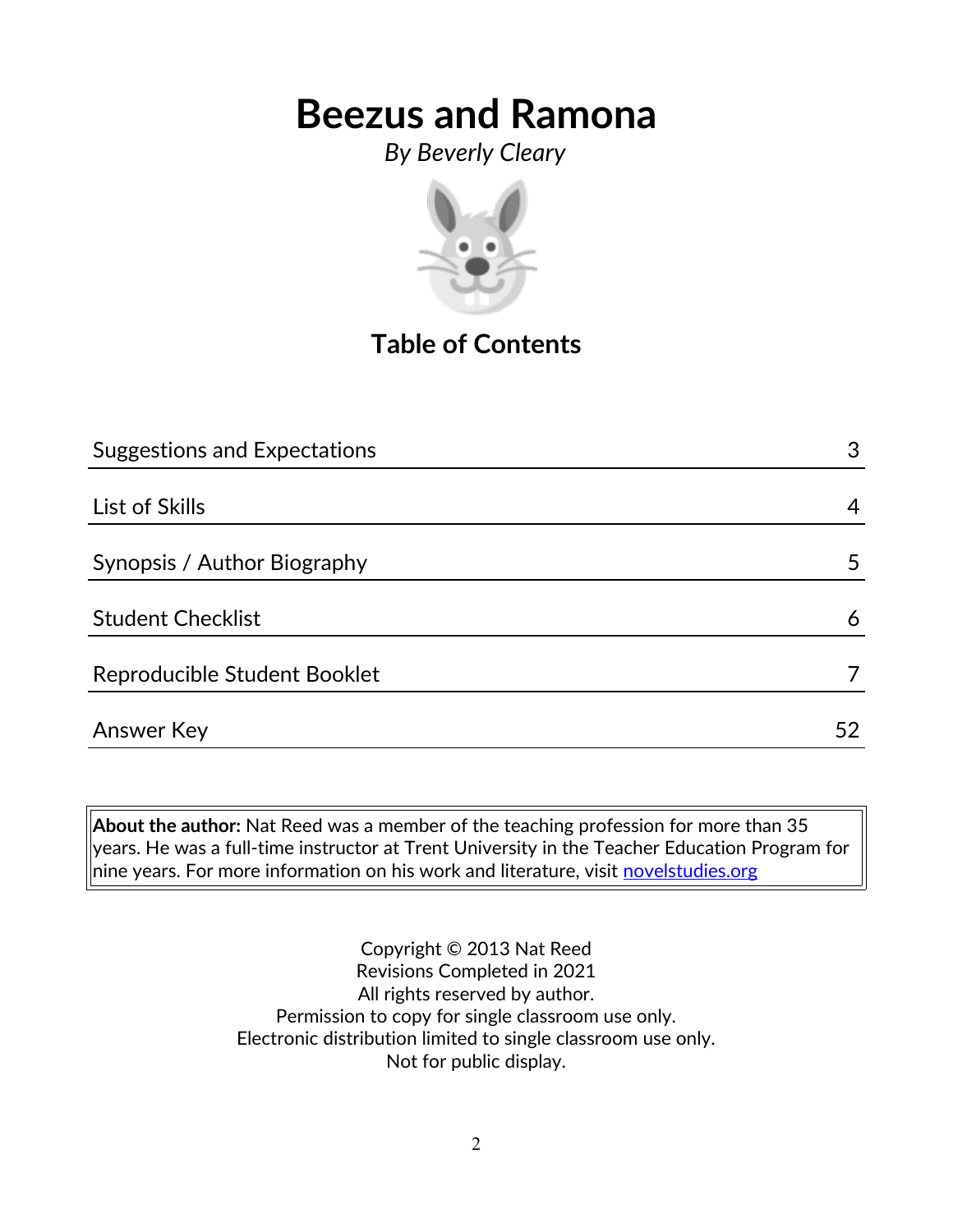*By Beverly Cleary*



**Table of Contents**

| <b>Suggestions and Expectations</b> | 3  |
|-------------------------------------|----|
|                                     |    |
| List of Skills                      | 4  |
|                                     |    |
| Synopsis / Author Biography         | 5  |
|                                     |    |
| <b>Student Checklist</b>            | 6  |
|                                     |    |
| Reproducible Student Booklet        |    |
|                                     | 52 |
| Answer Key                          |    |

**About the author:** Nat Reed was a member of the teaching profession for more than 35 years. He was a full-time instructor at Trent University in the Teacher Education Program for  $|$ nine years. For more information on his work and literature, visit  $\frac{1}{2}$  [novelstudies.org](http://www.novelstudies.org/)

> Copyright © 2013 Nat Reed Revisions Completed in 2021 All rights reserved by author. Permission to copy for single classroom use only. Electronic distribution limited to single classroom use only. Not for public display.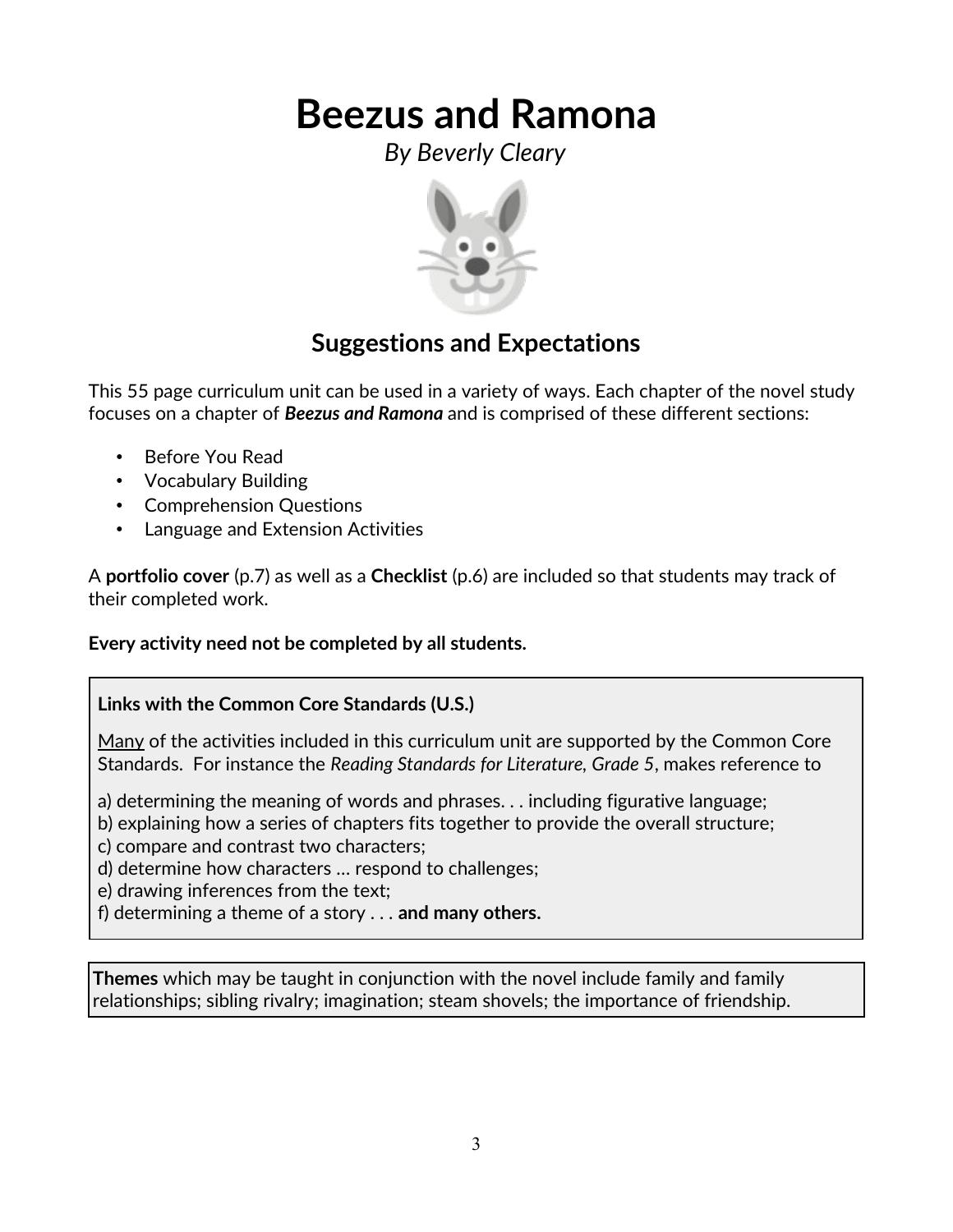*By Beverly Cleary*



### **Suggestions and Expectations**

This 55 page curriculum unit can be used in a variety of ways. Each chapter of the novel study focuses on a chapter of *Beezus and Ramona* and is comprised of these different sections:

- Before You Read
- Vocabulary Building
- Comprehension Questions
- Language and Extension Activities

A **portfolio cover** (p.7) as well as a **Checklist** (p.6) are included so that students may track of their completed work.

#### **Every activity need not be completed by all students.**

#### **Links with the Common Core Standards (U.S.)**

Many of the activities included in this curriculum unit are supported by the Common Core Standards. For instance the *Reading Standards for Literature, Grade 5*, makes reference to

a) determining the meaning of words and phrases. . . including figurative language;

b) explaining how a series of chapters fits together to provide the overall structure;

c) compare and contrast two characters;

d) determine how characters … respond to challenges;

e) drawing inferences from the text;

f) determining a theme of a story . . . **and many others.**

**Themes** which may be taught in conjunction with the novel include family and family relationships; sibling rivalry; imagination; steam shovels; the importance of friendship.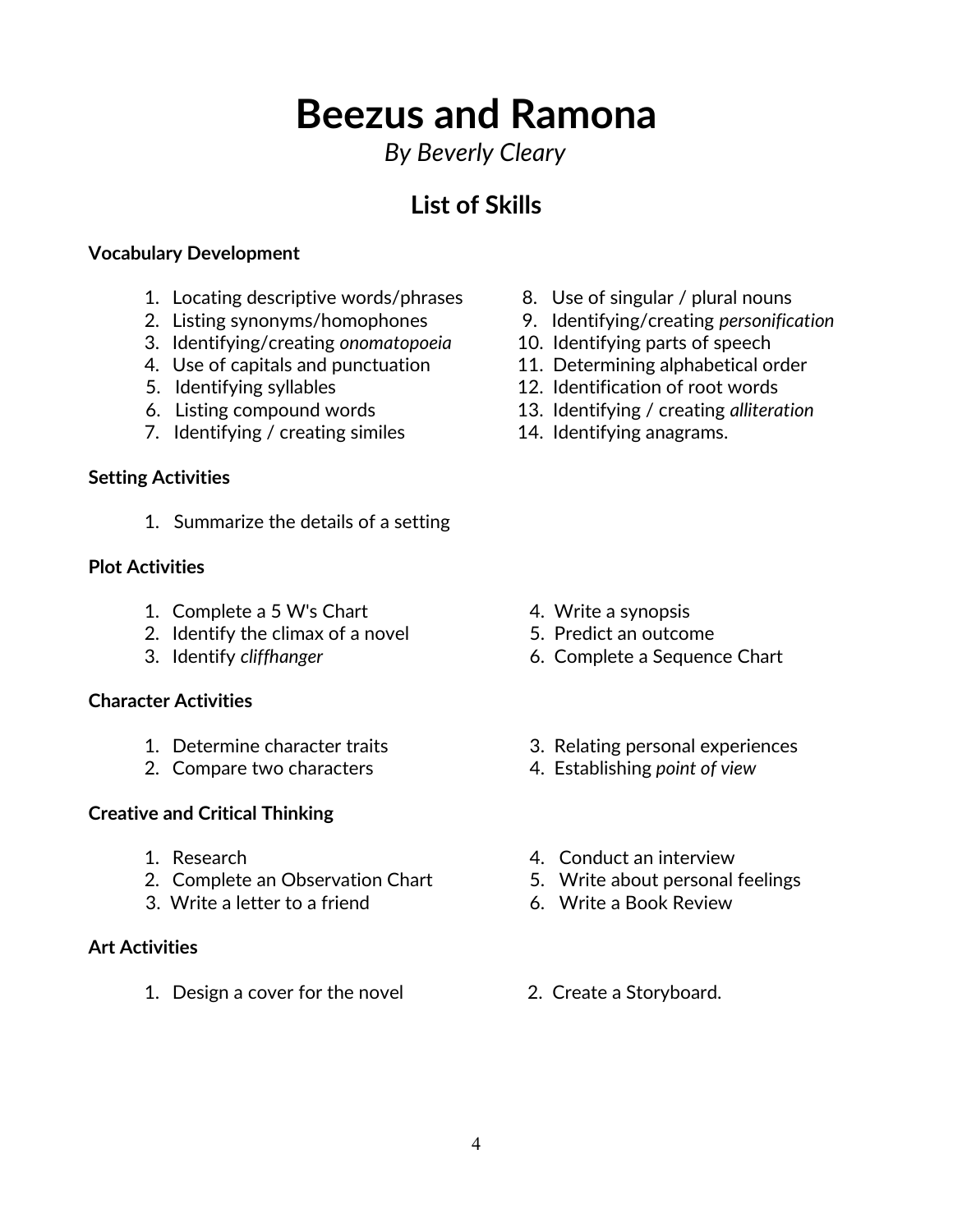### *By Beverly Cleary*

## **List of Skills**

#### **Vocabulary Development**

- 1. Locating descriptive words/phrases 8. Use of singular / plural nouns
- 
- 3. Identifying/creating *onomatopoeia* 10. Identifying parts of speech
- 4. Use of capitals and punctuation 11. Determining alphabetical order
- 
- 
- 7. Identifying / creating similes 14. Identifying anagrams.

#### **Setting Activities**

1. Summarize the details of a setting

#### **Plot Activities**

- 1. Complete a 5 W's Chart 4. Write a synopsis
- 2. Identify the climax of a novel 5. Predict an outcome
- 

#### **Character Activities**

- 
- 2. Compare two characters 4. Establishing *point of view*

#### **Creative and Critical Thinking**

- 
- 2. Complete an Observation Chart 5. Write about personal feelings
- 3. Write a letter to a friend 6. Write a Book Review

#### **Art Activities**

1. Design a cover for the novel 2. Create a Storyboard.

- 
- 2. Listing synonyms/homophones 9. Identifying/creating *personification*
	-
	-
- 5. Identifying syllables 12. Identification of root words
- 6. Listing compound words 13. Identifying / creating *alliteration*
	-

- 
- 
- 3. Identify *cliffhanger* 6. Complete a Sequence Chart
- 1. Determine character traits 3. Relating personal experiences
	-
- 1. Research 4. Conduct an interview
	-
	-
	-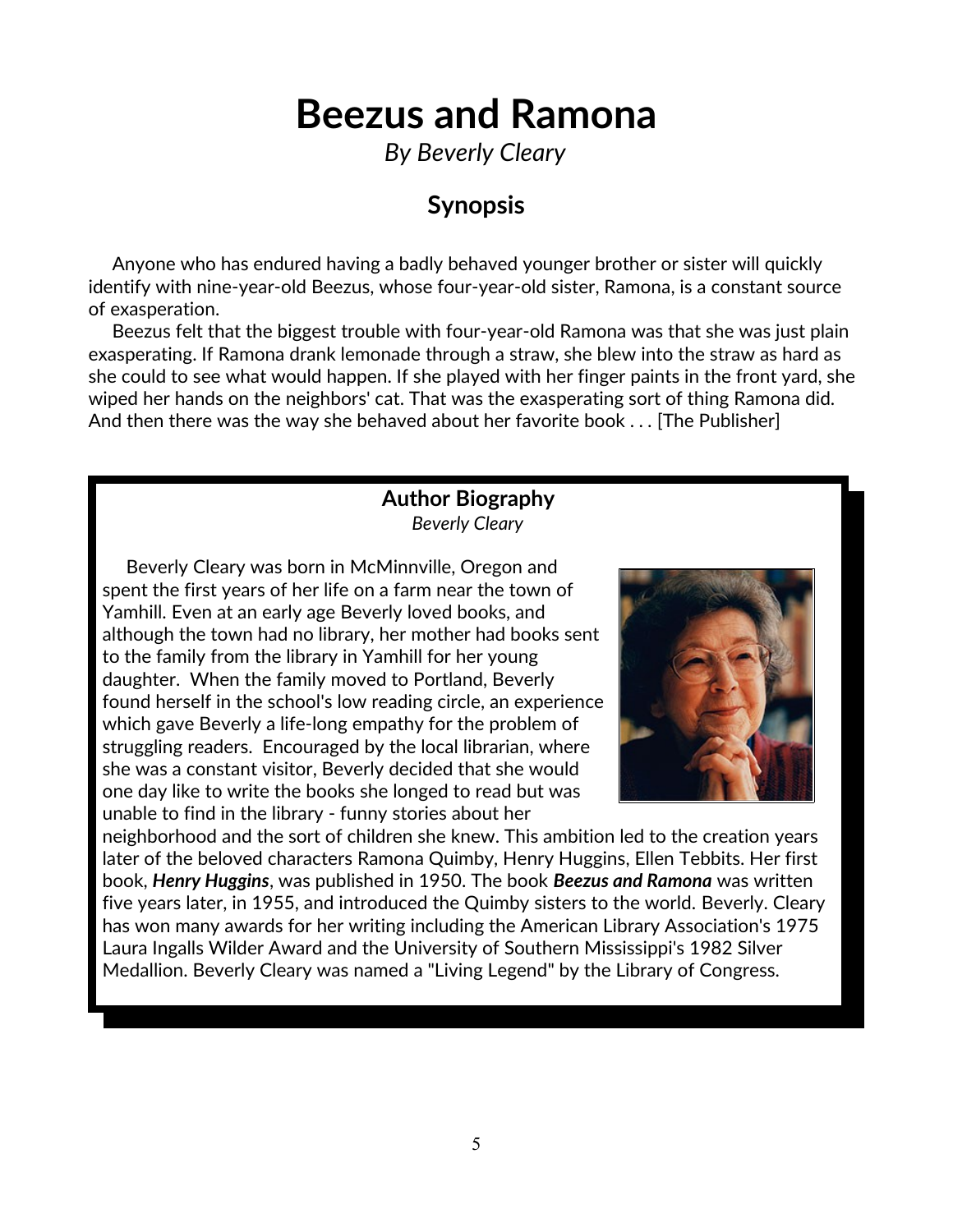*By Beverly Cleary*

### **Synopsis**

 Anyone who has endured having a badly behaved younger brother or sister will quickly identify with nine-year-old Beezus, whose four-year-old sister, Ramona, is a constant source of exasperation.

 Beezus felt that the biggest trouble with four-year-old Ramona was that she was just plain exasperating. If Ramona drank lemonade through a straw, she blew into the straw as hard as she could to see what would happen. If she played with her finger paints in the front yard, she wiped her hands on the neighbors' cat. That was the exasperating sort of thing Ramona did. And then there was the way she behaved about her favorite book . *. .* [The Publisher]

#### **Author Biography** *Beverly Cleary*

 Beverly Cleary was born in McMinnville, Oregon and spent the first years of her life on a farm near the town of Yamhill. Even at an early age Beverly loved books, and although the town had no library, her mother had books sent to the family from the library in Yamhill for her young daughter. When the family moved to Portland, Beverly found herself in the school's low reading circle, an experience which gave Beverly a life-long empathy for the problem of struggling readers. Encouraged by the local librarian, where she was a constant visitor, Beverly decided that she would one day like to write the books she longed to read but was unable to find in the library - funny stories about her



neighborhood and the sort of children she knew. This ambition led to the creation years later of the beloved characters Ramona Quimby, Henry Huggins, Ellen Tebbits. Her first book, *Henry Huggins*, was published in 1950. The book *Beezus and Ramona* was written five years later, in 1955, and introduced the Quimby sisters to the world. Beverly. Cleary has won many awards for her writing including the American Library Association's 1975 Laura Ingalls Wilder Award and the University of Southern Mississippi's 1982 Silver Medallion. Beverly Cleary was named a "Living Legend" by the Library of Congress.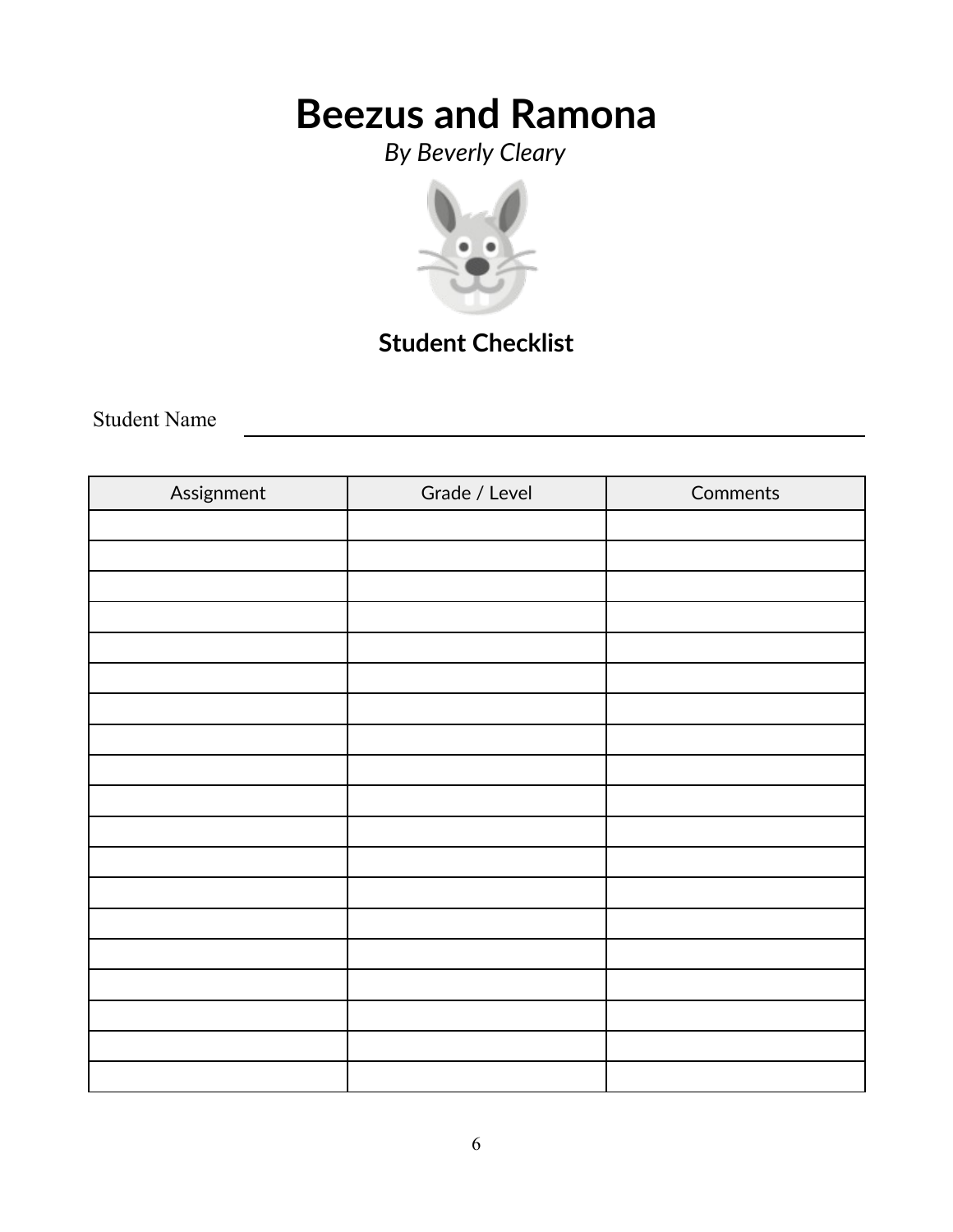*By Beverly Cleary*



## **Student Checklist**

Student Name

| Assignment | Grade / Level | Comments |
|------------|---------------|----------|
|            |               |          |
|            |               |          |
|            |               |          |
|            |               |          |
|            |               |          |
|            |               |          |
|            |               |          |
|            |               |          |
|            |               |          |
|            |               |          |
|            |               |          |
|            |               |          |
|            |               |          |
|            |               |          |
|            |               |          |
|            |               |          |
|            |               |          |
|            |               |          |
|            |               |          |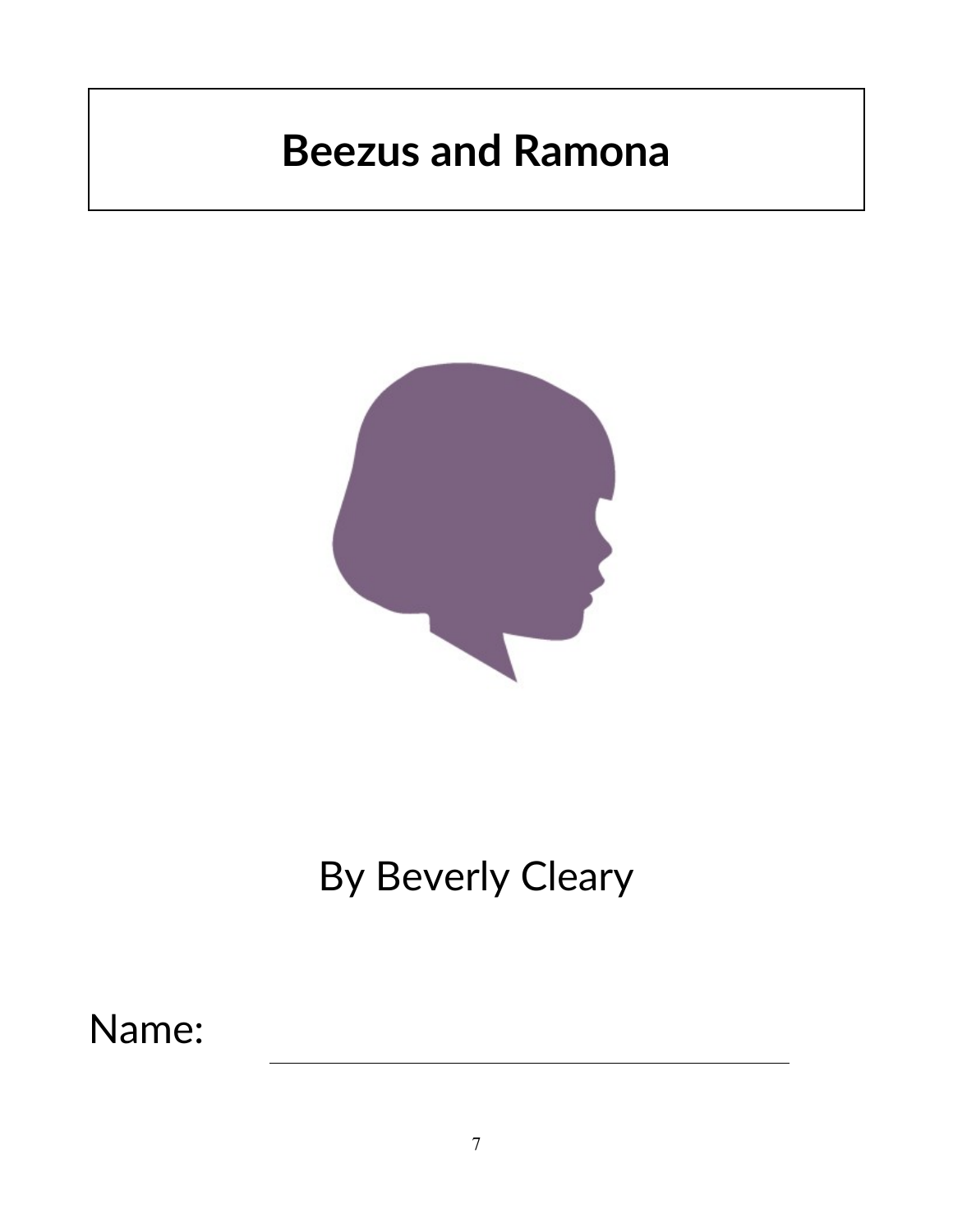

# By Beverly Cleary

## Name: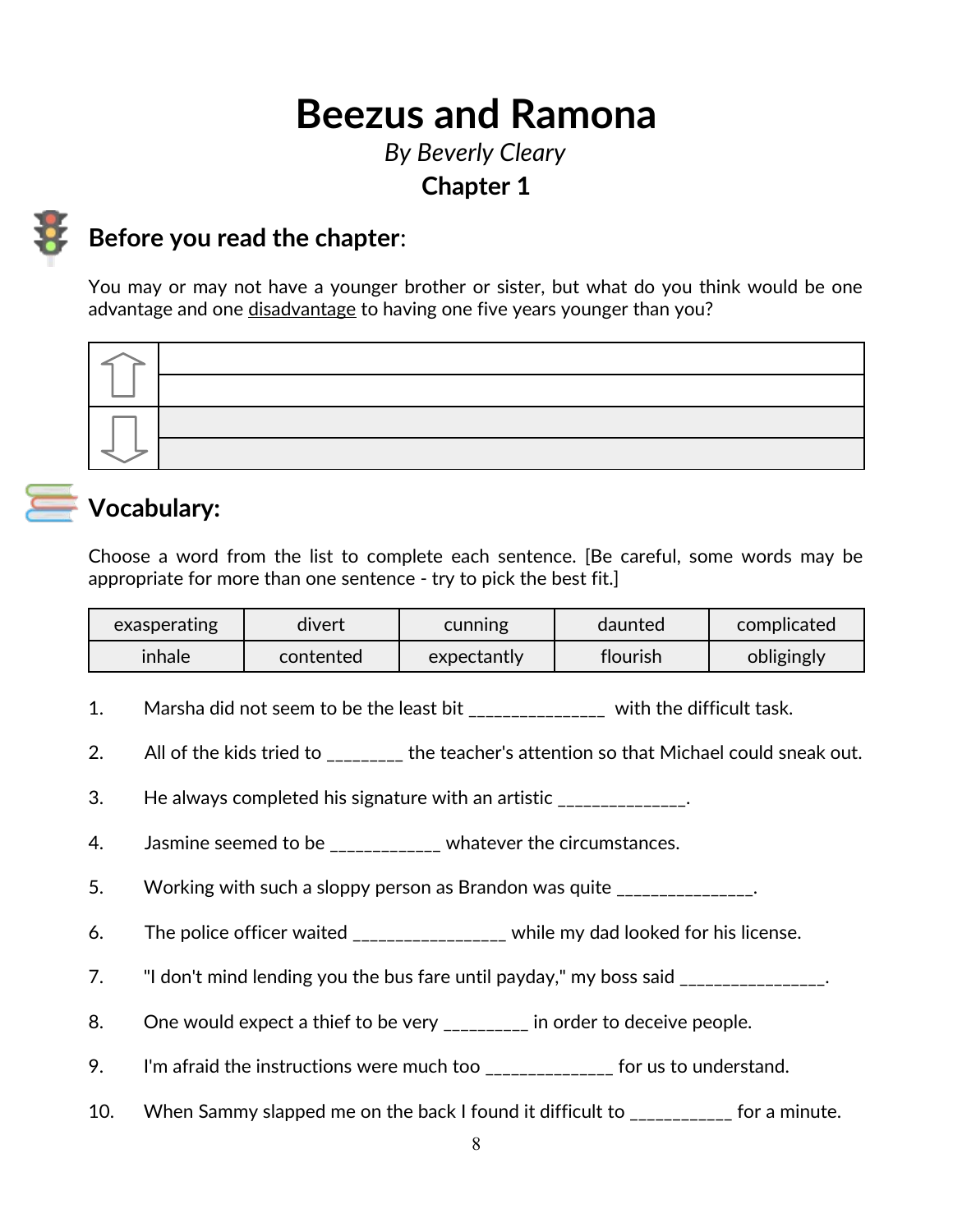### *By Beverly Cleary* **Chapter 1**



### **Before you read the chapter**:

You may or may not have a younger brother or sister, but what do you think would be one advantage and one disadvantage to having one five years younger than you?



### **Vocabulary:**

Choose a word from the list to complete each sentence. [Be careful, some words may be appropriate for more than one sentence - try to pick the best fit.]

| exasperating | divert    | cunning     | daunted  | complicated |
|--------------|-----------|-------------|----------|-------------|
| inhale       | contented | expectantly | flourish | obligingly  |

- 1. Marsha did not seem to be the least bit \_\_\_\_\_\_\_\_\_\_\_\_\_\_\_\_ with the difficult task.
- 2. All of the kids tried to the teacher's attention so that Michael could sneak out.
- 3. He always completed his signature with an artistic \_\_\_\_\_\_\_\_\_\_\_\_\_\_.
- 4. Jasmine seemed to be \_\_\_\_\_\_\_\_\_\_\_\_ whatever the circumstances.
- 5. Working with such a sloppy person as Brandon was quite \_\_\_\_\_\_\_\_\_\_\_\_\_\_.
- 6. The police officer waited \_\_\_\_\_\_\_\_\_\_\_\_\_\_\_\_\_ while my dad looked for his license.
- 7. If don't mind lending you the bus fare until payday," my boss said
- 8. One would expect a thief to be very \_\_\_\_\_\_\_\_\_ in order to deceive people.
- 9. I'm afraid the instructions were much too \_\_\_\_\_\_\_\_\_\_\_\_\_\_\_ for us to understand.
- 10. When Sammy slapped me on the back I found it difficult to \_\_\_\_\_\_\_\_\_\_\_\_ for a minute.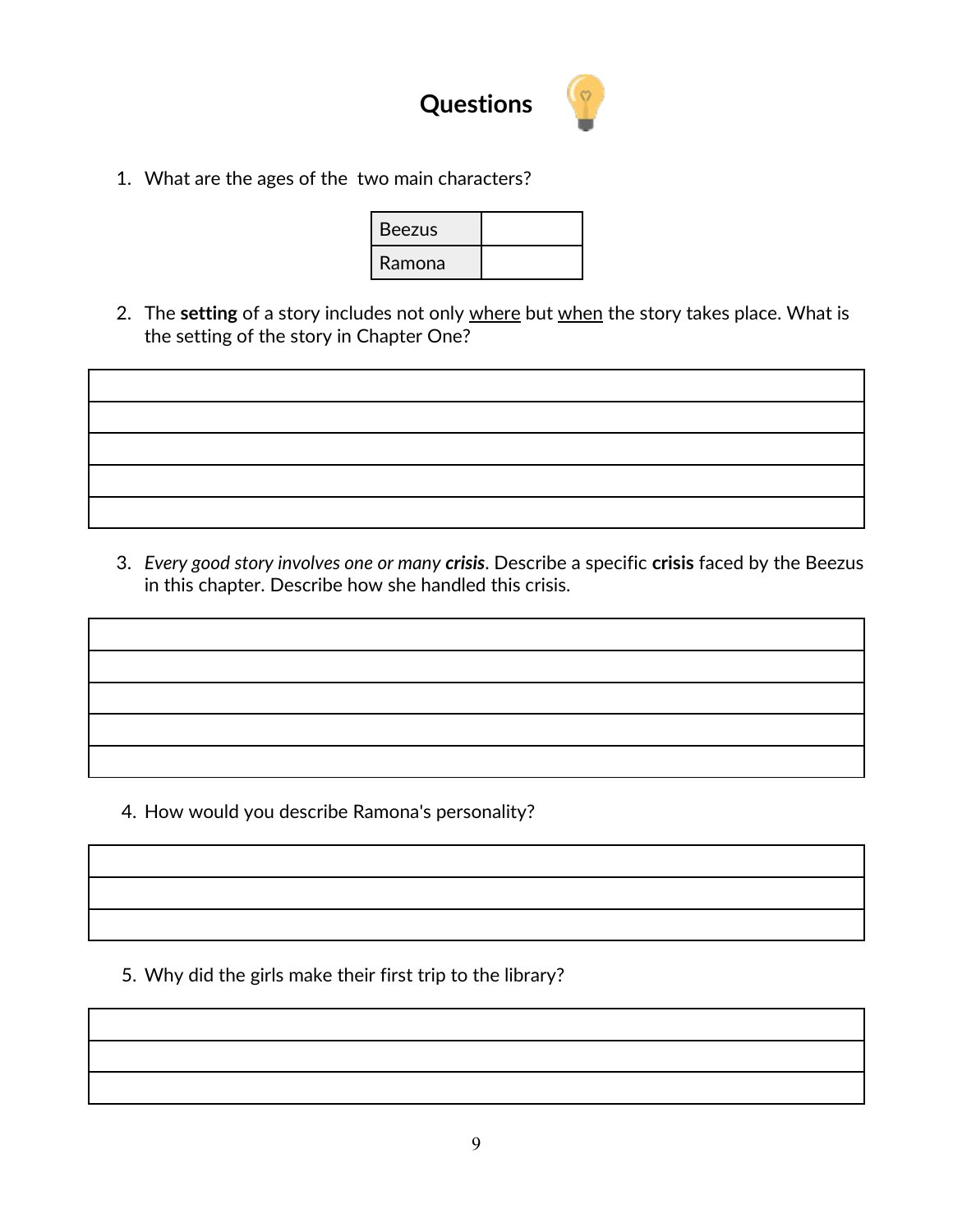

1. What are the ages of the two main characters?

| <b>Beezus</b> |  |
|---------------|--|
| Ramona        |  |

2. The **setting** of a story includes not only where but when the story takes place. What is the setting of the story in Chapter One?

3. *Every good story involves one or many crisis*. Describe a specific **crisis** faced by the Beezus in this chapter. Describe how she handled this crisis.

4. How would you describe Ramona's personality?

5. Why did the girls make their first trip to the library?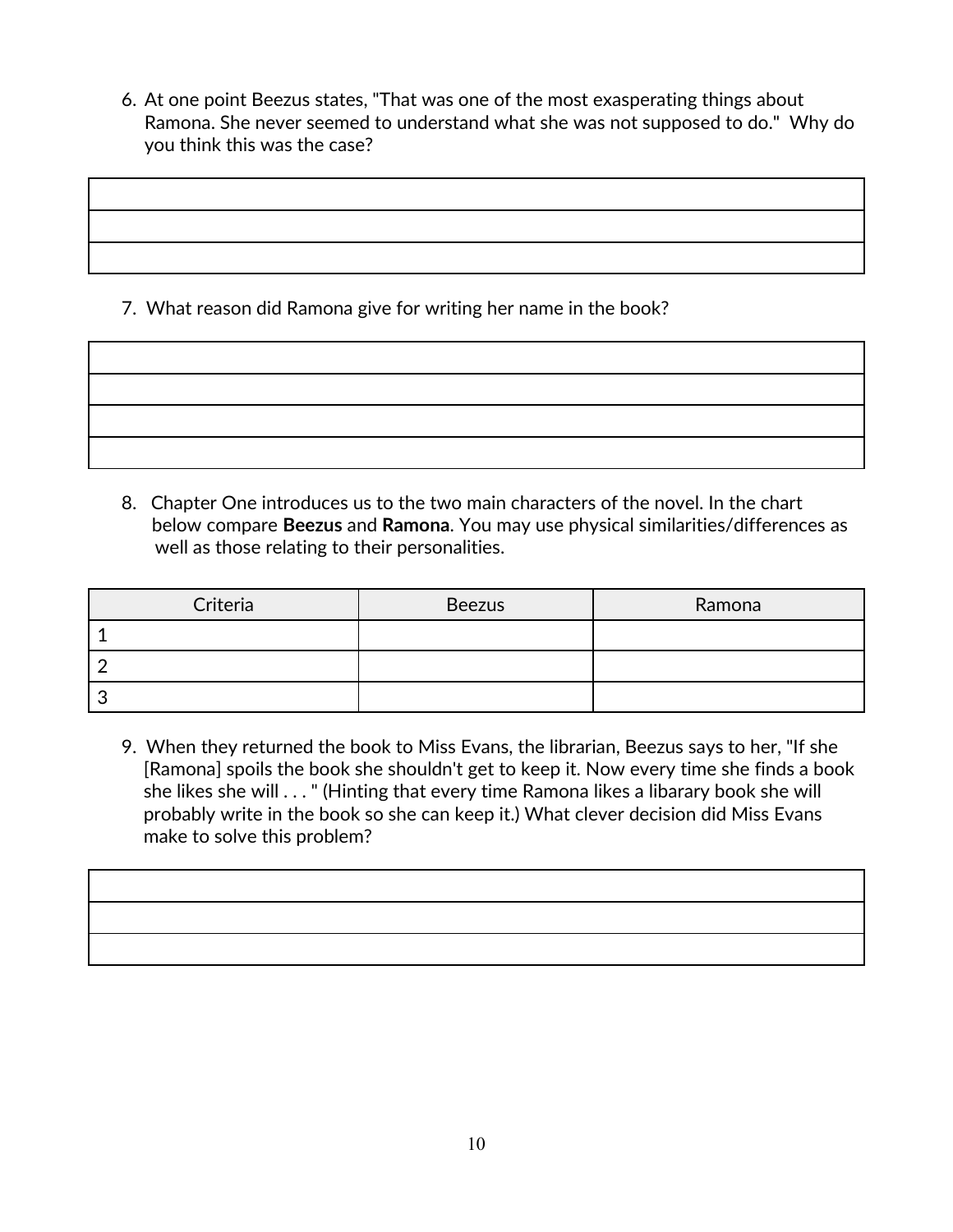6. At one point Beezus states, "That was one of the most exasperating things about Ramona. She never seemed to understand what she was not supposed to do." Why do you think this was the case?

7. What reason did Ramona give for writing her name in the book?

8. Chapter One introduces us to the two main characters of the novel. In the chart below compare **Beezus** and **Ramona**. You may use physical similarities/differences as well as those relating to their personalities.

| Criteria | <b>Beezus</b> | Ramona |
|----------|---------------|--------|
|          |               |        |
|          |               |        |
|          |               |        |

9. When they returned the book to Miss Evans, the librarian, Beezus says to her, "If she [Ramona] spoils the book she shouldn't get to keep it. Now every time she finds a book she likes she will . . . " (Hinting that every time Ramona likes a libarary book she will probably write in the book so she can keep it.) What clever decision did Miss Evans make to solve this problem?

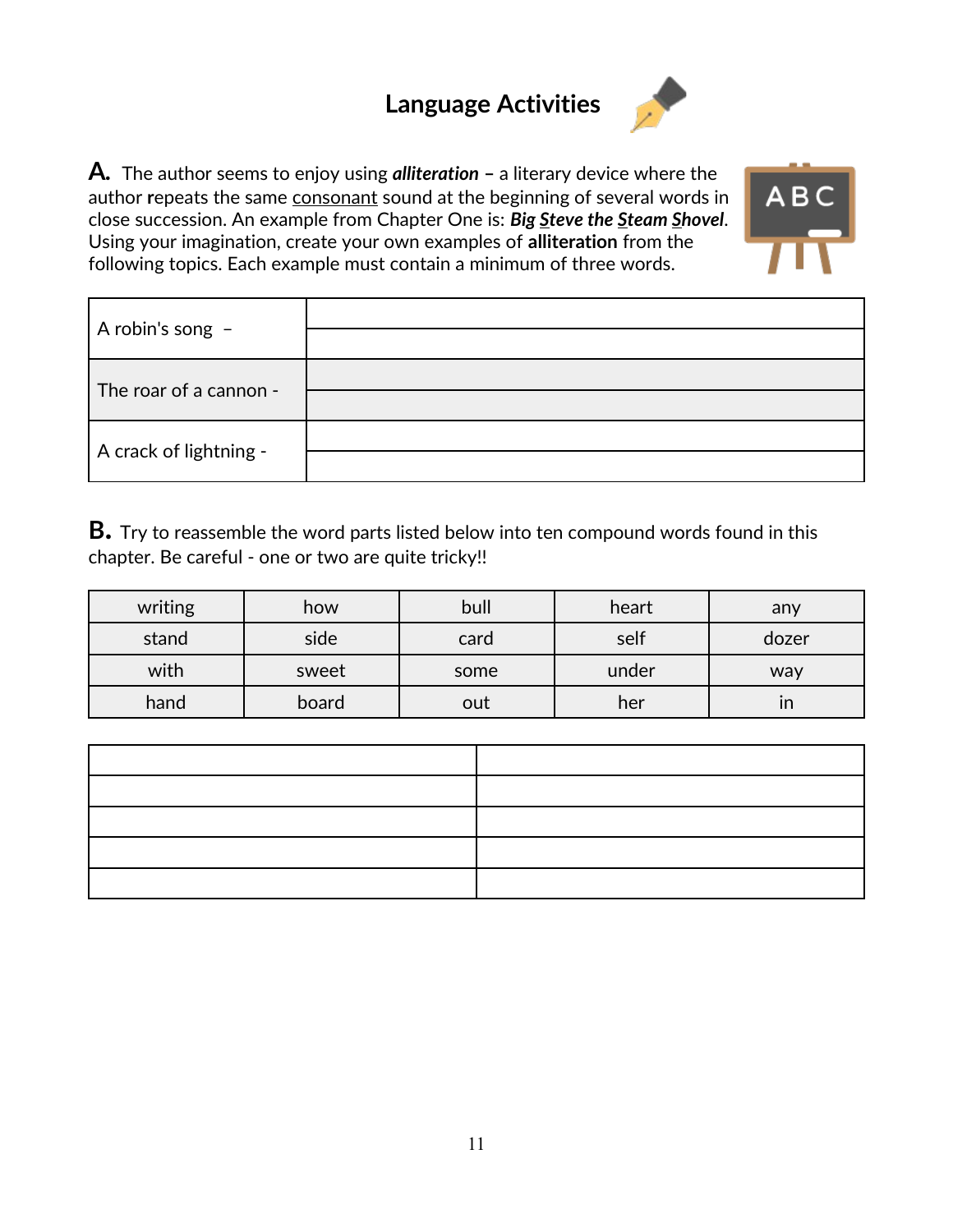## **Language Activities**



**A***.* The author seems to enjoy using *alliteration* **–** a literary device where the author repeats the same [consonant](http://en.wikipedia.org/wiki/Consonant) sound at the beginning of several words in close succession. An example from Chapter One is: *Big Steve the Steam Shovel*. Using your imagination, create your own examples of **alliteration** from the following topics. Each example must contain a minimum of three words.

**ABC** 

| A robin's song $-$     |  |
|------------------------|--|
| The roar of a cannon - |  |
| A crack of lightning - |  |

**B.** Try to reassemble the word parts listed below into ten compound words found in this chapter. Be careful - one or two are quite tricky!!

| writing | how   | bull | heart | any   |
|---------|-------|------|-------|-------|
| stand   | side  | card | self  | dozer |
| with    | sweet | some | under | way   |
| hand    | board | out  | her   | ın    |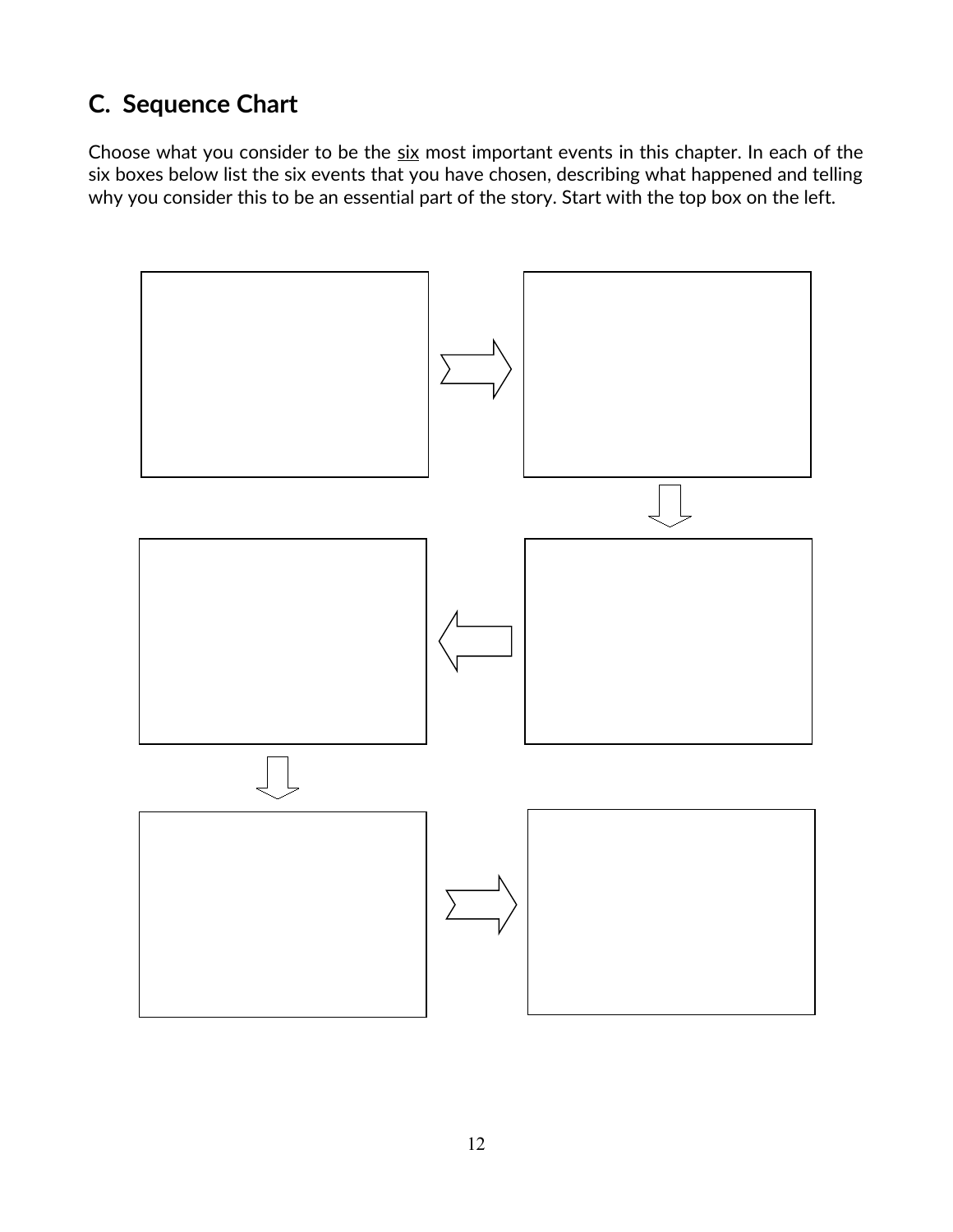## **C. Sequence Chart**

Choose what you consider to be the six most important events in this chapter. In each of the six boxes below list the six events that you have chosen, describing what happened and telling why you consider this to be an essential part of the story. Start with the top box on the left.

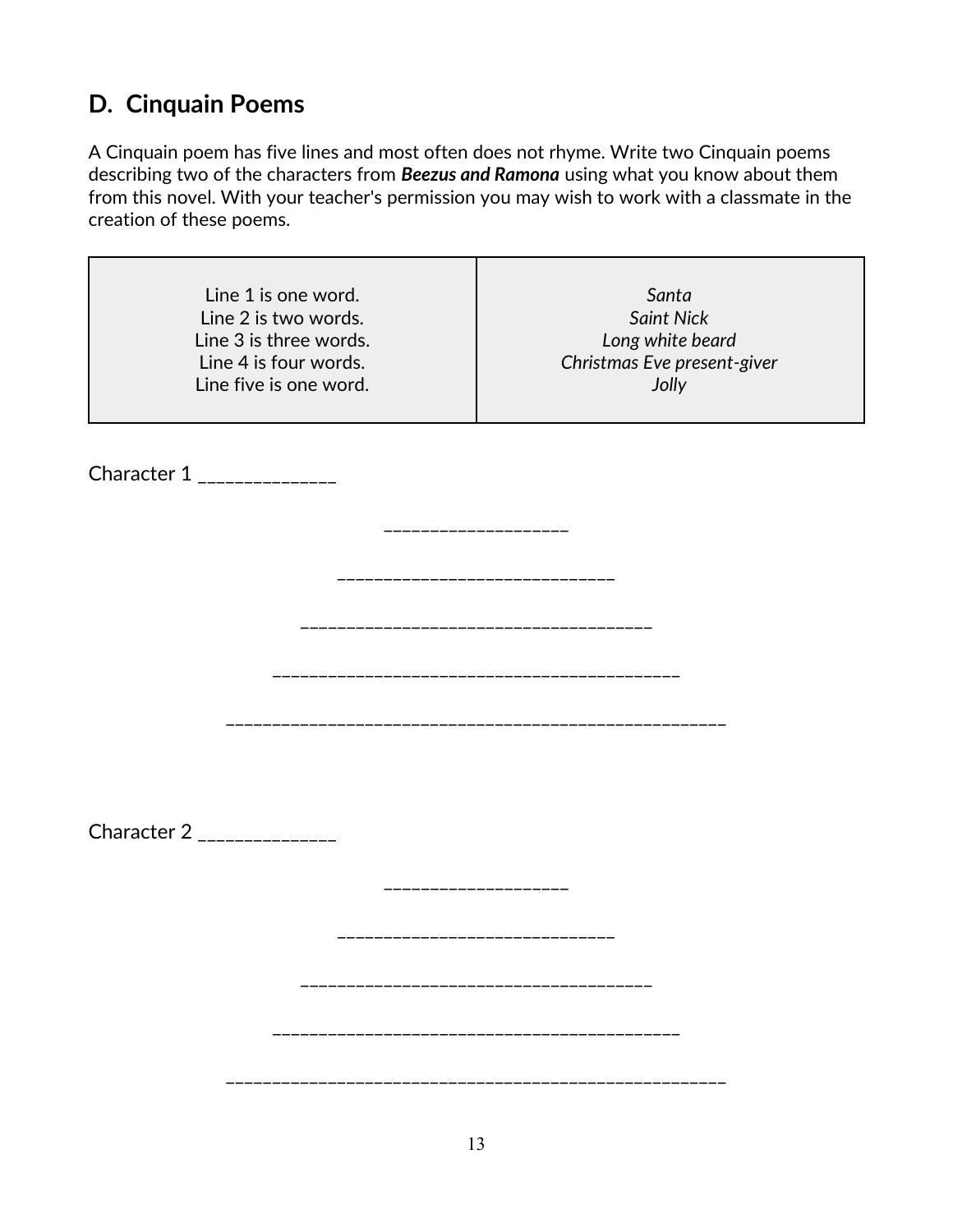## **D. Cinquain Poems**

A Cinquain poem has five lines and most often does not rhyme. Write two Cinquain poems describing two of the characters from *Beezus and Ramona* using what you know about them from this novel. With your teacher's permission you may wish to work with a classmate in the creation of these poems.

| Line 1 is one word.<br>Line 2 is two words.<br>Line 3 is three words.<br>Line 4 is four words.<br>Line five is one word. | Santa<br><b>Saint Nick</b><br>Long white beard<br>Christmas Eve present-giver<br>Jolly |
|--------------------------------------------------------------------------------------------------------------------------|----------------------------------------------------------------------------------------|
| Character 1 _______________                                                                                              |                                                                                        |
|                                                                                                                          | ____________________                                                                   |
|                                                                                                                          | ______________________                                                                 |
|                                                                                                                          | _____________________                                                                  |
| Character 2 _______________                                                                                              |                                                                                        |
|                                                                                                                          | ---------------                                                                        |
|                                                                                                                          | -----------------------<br>-------------------------------------                       |
|                                                                                                                          |                                                                                        |
|                                                                                                                          |                                                                                        |